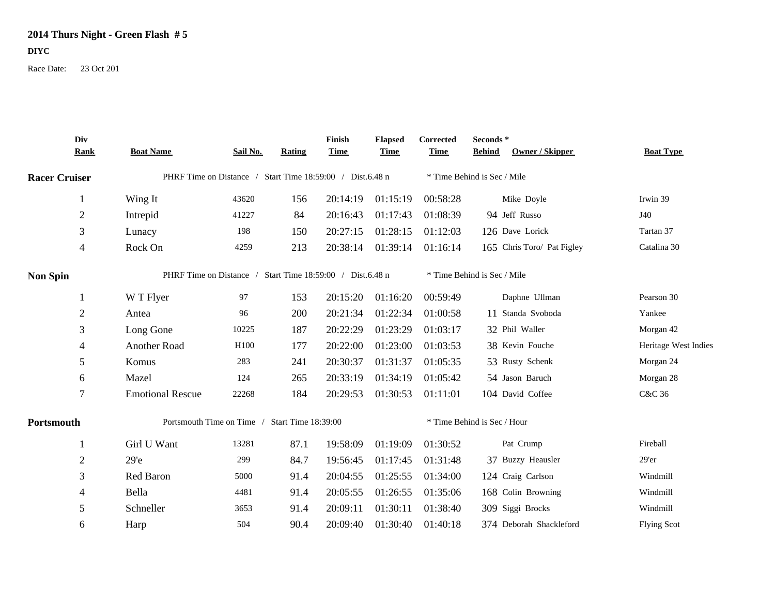## **2014 Thurs Night - Green Flash # 5**

## **DIYC**

Race Date: 23 Oct 201

|                      | Div<br><b>Rank</b> | <b>Boat Name</b>                                          | Sail No. | Rating | Finish<br><b>Time</b> | <b>Elapsed</b><br><b>Time</b> | Corrected<br><b>Time</b>    | Seconds*<br><b>Behind</b> | <b>Owner / Skipper</b>     | <b>Boat Type</b>     |
|----------------------|--------------------|-----------------------------------------------------------|----------|--------|-----------------------|-------------------------------|-----------------------------|---------------------------|----------------------------|----------------------|
| <b>Racer Cruiser</b> |                    | PHRF Time on Distance / Start Time 18:59:00 / Dist.6.48 n |          |        |                       |                               | * Time Behind is Sec / Mile |                           |                            |                      |
|                      | 1                  | Wing It                                                   | 43620    | 156    | 20:14:19              | 01:15:19                      | 00:58:28                    |                           | Mike Doyle                 | Irwin 39             |
|                      | $\overline{2}$     | Intrepid                                                  | 41227    | 84     | 20:16:43              | 01:17:43                      | 01:08:39                    |                           | 94 Jeff Russo              | J40                  |
|                      | $\mathfrak{Z}$     | Lunacy                                                    | 198      | 150    | 20:27:15              | 01:28:15                      | 01:12:03                    |                           | 126 Dave Lorick            | Tartan 37            |
|                      | 4                  | Rock On                                                   | 4259     | 213    | 20:38:14              | 01:39:14                      | 01:16:14                    |                           | 165 Chris Toro/ Pat Figley | Catalina 30          |
| <b>Non Spin</b>      |                    | PHRF Time on Distance / Start Time 18:59:00 / Dist.6.48 n |          |        |                       |                               | * Time Behind is Sec / Mile |                           |                            |                      |
|                      |                    | W T Flyer                                                 | 97       | 153    | 20:15:20              | 01:16:20                      | 00:59:49                    |                           | Daphne Ullman              | Pearson 30           |
|                      | $\overline{2}$     | Antea                                                     | 96       | 200    | 20:21:34              | 01:22:34                      | 01:00:58                    |                           | 11 Standa Svoboda          | Yankee               |
|                      | 3                  | Long Gone                                                 | 10225    | 187    | 20:22:29              | 01:23:29                      | 01:03:17                    |                           | 32 Phil Waller             | Morgan 42            |
|                      | 4                  | Another Road                                              | H100     | 177    | 20:22:00              | 01:23:00                      | 01:03:53                    |                           | 38 Kevin Fouche            | Heritage West Indies |
|                      | 5                  | Komus                                                     | 283      | 241    | 20:30:37              | 01:31:37                      | 01:05:35                    |                           | 53 Rusty Schenk            | Morgan 24            |
|                      | 6                  | Mazel                                                     | 124      | 265    | 20:33:19              | 01:34:19                      | 01:05:42                    |                           | 54 Jason Baruch            | Morgan 28            |
|                      | $\overline{7}$     | <b>Emotional Rescue</b>                                   | 22268    | 184    | 20:29:53              | 01:30:53                      | 01:11:01                    |                           | 104 David Coffee           | C&C 36               |
| Portsmouth           |                    | Portsmouth Time on Time /<br><b>Start Time 18:39:00</b>   |          |        |                       |                               | * Time Behind is Sec / Hour |                           |                            |                      |
|                      |                    | Girl U Want                                               | 13281    | 87.1   | 19:58:09              | 01:19:09                      | 01:30:52                    |                           | Pat Crump                  | Fireball             |
|                      | $\overline{2}$     | 29 <sup>o</sup>                                           | 299      | 84.7   | 19:56:45              | 01:17:45                      | 01:31:48                    |                           | 37 Buzzy Heausler          | 29'er                |
|                      | 3                  | Red Baron                                                 | 5000     | 91.4   | 20:04:55              | 01:25:55                      | 01:34:00                    |                           | 124 Craig Carlson          | Windmill             |
|                      | 4                  | Bella                                                     | 4481     | 91.4   | 20:05:55              | 01:26:55                      | 01:35:06                    |                           | 168 Colin Browning         | Windmill             |
|                      | 5                  | Schneller                                                 | 3653     | 91.4   | 20:09:11              | 01:30:11                      | 01:38:40                    |                           | 309 Siggi Brocks           | Windmill             |
|                      | 6                  | Harp                                                      | 504      | 90.4   | 20:09:40              | 01:30:40                      | 01:40:18                    |                           | 374 Deborah Shackleford    | <b>Flying Scot</b>   |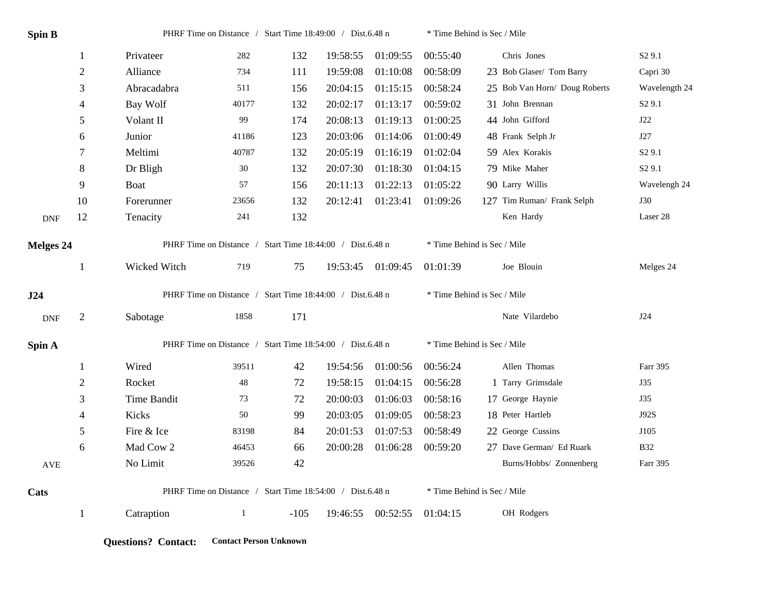| Spin B     |                  | PHRF Time on Distance / Start Time 18:49:00 / Dist.6.48 n |             |        |          |                   | * Time Behind is Sec / Mile |                               |                    |  |
|------------|------------------|-----------------------------------------------------------|-------------|--------|----------|-------------------|-----------------------------|-------------------------------|--------------------|--|
|            | $\mathbf{1}$     | Privateer                                                 | 282         | 132    | 19:58:55 | 01:09:55          | 00:55:40                    | Chris Jones                   | S <sub>2</sub> 9.1 |  |
|            | $\sqrt{2}$       | Alliance                                                  | 734         | 111    | 19:59:08 | 01:10:08          | 00:58:09                    | 23 Bob Glaser/ Tom Barry      | Capri 30           |  |
|            | 3                | Abracadabra                                               | 511         | 156    | 20:04:15 | 01:15:15          | 00:58:24                    | 25 Bob Van Horn/ Doug Roberts | Wavelength 24      |  |
|            | 4                | Bay Wolf                                                  | 40177       | 132    | 20:02:17 | 01:13:17          | 00:59:02                    | 31 John Brennan               | S <sub>2</sub> 9.1 |  |
|            | 5                | Volant II                                                 | 99          | 174    | 20:08:13 | 01:19:13          | 01:00:25                    | 44 John Gifford               | J22                |  |
|            | 6                | Junior                                                    | 41186       | 123    | 20:03:06 | 01:14:06          | 01:00:49                    | 48 Frank Selph Jr             | J27                |  |
|            | $\boldsymbol{7}$ | Meltimi                                                   | 40787       | 132    | 20:05:19 | 01:16:19          | 01:02:04                    | 59 Alex Korakis               | S <sub>2</sub> 9.1 |  |
|            | $\,8\,$          | Dr Bligh                                                  | 30          | 132    | 20:07:30 | 01:18:30          | 01:04:15                    | 79 Mike Maher                 | S <sub>2</sub> 9.1 |  |
|            | 9                | Boat                                                      | 57          | 156    | 20:11:13 | 01:22:13          | 01:05:22                    | 90 Larry Willis               | Wavelengh 24       |  |
|            | 10               | Forerunner                                                | 23656       | 132    | 20:12:41 | 01:23:41          | 01:09:26                    | 127 Tim Ruman/ Frank Selph    | <b>J30</b>         |  |
| <b>DNF</b> | 12               | Tenacity                                                  | 241         | 132    |          |                   |                             | Ken Hardy                     | Laser 28           |  |
| Melges 24  |                  | PHRF Time on Distance / Start Time 18:44:00 / Dist.6.48 n |             |        |          |                   | * Time Behind is Sec / Mile |                               |                    |  |
|            | $\mathbf{1}$     | Wicked Witch                                              | 719         | 75     |          | 19:53:45 01:09:45 | 01:01:39                    | Joe Blouin                    | Melges 24          |  |
| J24        |                  | PHRF Time on Distance / Start Time 18:44:00 / Dist.6.48 n |             |        |          |                   | * Time Behind is Sec / Mile |                               |                    |  |
| <b>DNF</b> | $\overline{2}$   | Sabotage                                                  | 1858        | 171    |          |                   |                             | Nate Vilardebo                | J24                |  |
| Spin A     |                  | PHRF Time on Distance / Start Time 18:54:00 / Dist.6.48 n |             |        |          |                   | * Time Behind is Sec / Mile |                               |                    |  |
|            | $\mathbf{1}$     | Wired                                                     | 39511       | 42     | 19:54:56 | 01:00:56          | 00:56:24                    | Allen Thomas                  | Farr 395           |  |
|            | $\sqrt{2}$       | Rocket                                                    | $\sqrt{48}$ | 72     | 19:58:15 | 01:04:15          | 00:56:28                    | 1 Tarry Grimsdale             | J35                |  |
|            | 3                | Time Bandit                                               | 73          | 72     | 20:00:03 | 01:06:03          | 00:58:16                    | 17 George Haynie              | J35                |  |
|            | 4                | Kicks                                                     | 50          | 99     | 20:03:05 | 01:09:05          | 00:58:23                    | 18 Peter Hartleb              | J92S               |  |
|            | 5                | Fire & Ice                                                | 83198       | 84     | 20:01:53 | 01:07:53          | 00:58:49                    | 22 George Cussins             | J105               |  |
|            | 6                | Mad Cow 2                                                 | 46453       | 66     | 20:00:28 | 01:06:28          | 00:59:20                    | 27 Dave German/ Ed Ruark      | <b>B32</b>         |  |
| AVE        |                  | No Limit                                                  | 39526       | 42     |          |                   |                             | Burns/Hobbs/ Zonnenberg       | Farr 395           |  |
| Cats       |                  | PHRF Time on Distance / Start Time 18:54:00 / Dist.6.48 n |             |        |          |                   | * Time Behind is Sec / Mile |                               |                    |  |
|            | $\mathbf{1}$     | Catraption                                                | 1           | $-105$ |          | 19:46:55 00:52:55 | 01:04:15                    | OH Rodgers                    |                    |  |

**Questions? Contact: Contact Person Unknown**